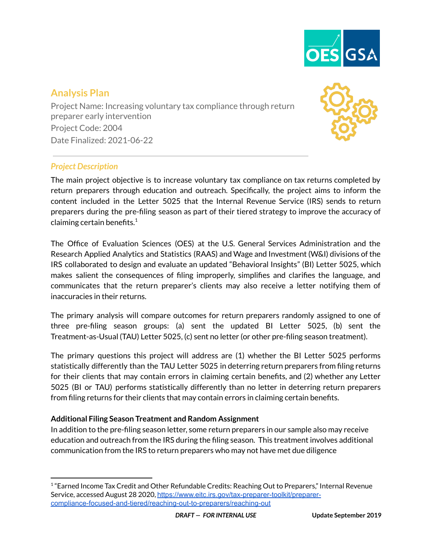

# **Analysis Plan**

Project Name: Increasing voluntary tax compliance through return preparer early intervention Project Code: 2004 Date Finalized: 2021-06-22



## *Project Description*

The main project objective is to increase voluntary tax compliance on tax returns completed by return preparers through education and outreach. Specifically, the project aims to inform the content included in the Letter 5025 that the Internal Revenue Service (IRS) sends to return preparers during the pre-filing season as part of their tiered strategy to improve the accuracy of claiming certain benefits. $^1$ 

The Office of Evaluation Sciences (OES) at the U.S. General Services Administration and the Research Applied Analytics and Statistics (RAAS) and Wage and Investment (W&I) divisions of the IRS collaborated to design and evaluate an updated "Behavioral Insights" (BI) Letter 5025, which makes salient the consequences of filing improperly, simplifies and clarifies the language, and communicates that the return preparer's clients may also receive a letter notifying them of inaccuracies in their returns.

The primary analysis will compare outcomes for return preparers randomly assigned to one of three pre-filing season groups: (a) sent the updated BI Letter 5025, (b) sent the Treatment-as-Usual (TAU) Letter 5025, (c) sent no letter (or other pre-filing season treatment).

The primary questions this project will address are (1) whether the BI Letter 5025 performs statistically differently than the TAU Letter 5025 in deterring return preparers from filing returns for their clients that may contain errors in claiming certain benefits, and (2) whether any Letter 5025 (BI or TAU) performs statistically differently than no letter in deterring return preparers from filing returns for their clients that may contain errors in claiming certain benefits.

## **Additional Filing Season Treatment and Random Assignment**

In addition to the pre-filing season letter, some return preparers in our sample also may receive education and outreach from the IRS during the filing season. This treatment involves additional communication from the IRS to return preparers who may not have met due diligence

 $1^{\circ}$ Earned Income Tax Credit and Other Refundable Credits: Reaching Out to Preparers," Internal Revenue Service, accessed August 28 2020, [https://www.eitc.irs.gov/tax-preparer-toolkit/preparer](https://www.eitc.irs.gov/tax-preparer-toolkit/preparer-compliance-focused-and-tiered/reaching-out-to-preparers/reaching-out)[compliance-focused-and-tiered/reaching-out-to-preparers/reaching-out](https://www.eitc.irs.gov/tax-preparer-toolkit/preparer-compliance-focused-and-tiered/reaching-out-to-preparers/reaching-out)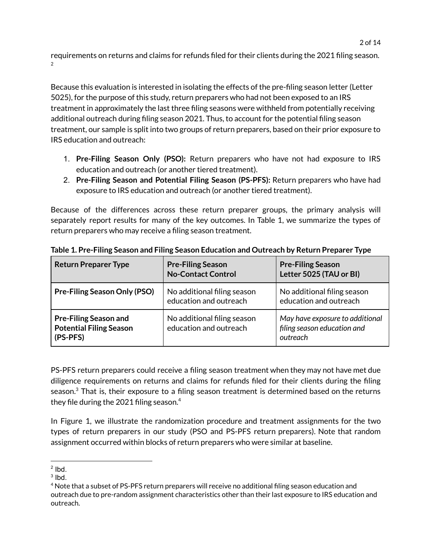requirements on returns and claims for refunds filed for their clients during the 2021 filing season. 2

Because this evaluation is interested in isolating the effects of the pre-filing season letter (Letter 5025), for the purpose of this study, return preparers who had not been exposed to an IRS treatment in approximately the last three filing seasons were withheld from potentially receiving additional outreach during filing season 2021. Thus, to account for the potential filing season treatment, our sample is split into two groups of return preparers, based on their prior exposure to IRS education and outreach:

- 1. **Pre-Filing Season Only (PSO):** Return preparers who have not had exposure to IRS education and outreach (or another tiered treatment).
- 2. **Pre-Filing Season and Potential Filing Season (PS-PFS):** Return preparers who have had exposure to IRS education and outreach (or another tiered treatment).

Because of the differences across these return preparer groups, the primary analysis will separately report results for many of the key outcomes. In Table 1, we summarize the types of return preparers who may receive a filing season treatment.

| <b>Return Preparer Type</b>                                                | <b>Pre-Filing Season</b><br><b>No-Contact Control</b> | <b>Pre-Filing Season</b><br>Letter 5025 (TAU or BI)                        |
|----------------------------------------------------------------------------|-------------------------------------------------------|----------------------------------------------------------------------------|
| <b>Pre-Filing Season Only (PSO)</b>                                        | No additional filing season<br>education and outreach | No additional filing season<br>education and outreach                      |
| <b>Pre-Filing Season and</b><br><b>Potential Filing Season</b><br>(PS-PFS) | No additional filing season<br>education and outreach | May have exposure to additional<br>filing season education and<br>outreach |

**Table 1. Pre-Filing Season and Filing Season Education and Outreach by Return Preparer Type**

PS-PFS return preparers could receive a filing season treatment when they may not have met due diligence requirements on returns and claims for refunds filed for their clients during the filing season. $^3$  That is, their exposure to a filing season treatment is determined based on the returns they file during the 2021 filing season. $^4$ 

In Figure 1, we illustrate the randomization procedure and treatment assignments for the two types of return preparers in our study (PSO and PS-PFS return preparers). Note that random assignment occurred within blocks of return preparers who were similar at baseline.

 $2$  lbd.

 $3$  lbd.

<sup>&</sup>lt;sup>4</sup> Note that a subset of PS-PFS return preparers will receive no additional filing season education and outreach due to pre-random assignment characteristics other than their last exposure to IRS education and outreach.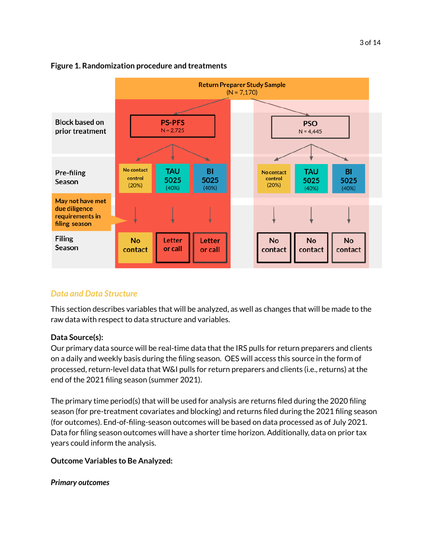#### 3 of 14

#### **Figure 1. Randomization procedure and treatments**



## *Data and Data Structure*

This section describes variables that will be analyzed, as well as changes that will be made to the raw data with respect to data structure and variables.

#### **Data Source(s):**

Our primary data source will be real-time data that the IRS pulls for return preparers and clients on a daily and weekly basis during the filing season. OES will access this source in the form of processed, return-level data that W&I pulls for return preparers and clients (i.e., returns) at the end of the 2021 filing season (summer 2021).

The primary time period(s) that will be used for analysis are returns filed during the 2020 filing season (for pre-treatment covariates and blocking) and returns filed during the 2021 filing season (for outcomes). End-of-filing-season outcomes will be based on data processed as of July 2021. Data for filing season outcomes will have a shorter time horizon. Additionally, data on prior tax years could inform the analysis.

#### **Outcome Variables to Be Analyzed:**

*Primary outcomes*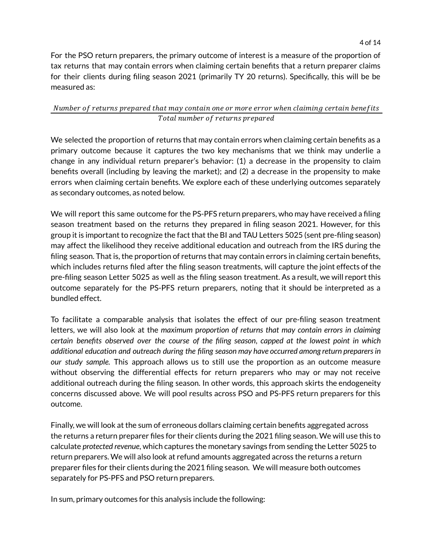For the PSO return preparers, the primary outcome of interest is a measure of the proportion of tax returns that may contain errors when claiming certain benefits that a return preparer claims for their clients during filing season 2021 (primarily TY 20 returns). Specifically, this will be be measured as:

### Number of returns prepared that may contain one or more error when claiming certain benefits Total number of returns prepared

We selected the proportion of returns that may contain errors when claiming certain benefits as a primary outcome because it captures the two key mechanisms that we think may underlie a change in any individual return preparer's behavior: (1) a decrease in the propensity to claim benefits overall (including by leaving the market); and (2) a decrease in the propensity to make errors when claiming certain benefits. We explore each of these underlying outcomes separately as secondary outcomes, as noted below.

We will report this same outcome for the PS-PFS return preparers, who may have received a filing season treatment based on the returns they prepared in filing season 2021. However, for this group it is important to recognize the fact that the BI and TAU Letters 5025 (sent pre-filing season) may affect the likelihood they receive additional education and outreach from the IRS during the filing season. That is, the proportion of returns that may contain errors in claiming certain benefits, which includes returns filed after the filing season treatments, will capture the joint effects of the pre-filing season Letter 5025 as well as the filing season treatment. As a result, we will report this outcome separately for the PS-PFS return preparers, noting that it should be interpreted as a bundled effect.

To facilitate a comparable analysis that isolates the effect of our pre-filing season treatment letters, we will also look at the *maximum* p*roportion of returns that may contain errors in claiming certain benefits observed over the course of the filing season*, *capped at the lowest point in which additional education and outreach during the filing season may have occurred among return preparersin our study sample.* This approach allows us to still use the proportion as an outcome measure without observing the differential effects for return preparers who may or may not receive additional outreach during the filing season. In other words, this approach skirts the endogeneity concerns discussed above. We will pool results across PSO and PS-PFS return preparers for this outcome.

Finally, we will look at the sum of erroneous dollars claiming certain benefits aggregated across the returns a return preparer files for their clients during the 2021 filing season. We will use this to calculate *protected revenue*, which captures the monetary savings from sending the Letter 5025 to return preparers. We will also look at refund amounts aggregated across the returns a return preparer files for their clients during the 2021 filing season. We will measure both outcomes separately for PS-PFS and PSO return preparers.

In sum, primary outcomes for this analysis include the following: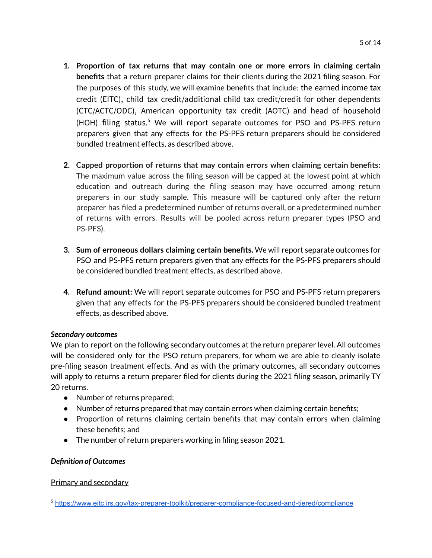- **1. Proportion of tax returns that may contain one or more errors in claiming certain benefits** that a return preparer claims for their clients during the 2021 filing season. For the purposes of this study, we will examine benefits that include: the earned income tax credit (EITC), child tax credit/additional child tax credit/credit for other dependents (CTC/ACTC/ODC), American opportunity tax credit (AOTC) and head of household (HOH) filing status.<sup>5</sup> We will report separate outcomes for PSO and PS-PFS return preparers given that any effects for the PS-PFS return preparers should be considered bundled treatment effects, as described above.
- **2. Capped proportion of returns that may contain errors when claiming certain benefits:** The maximum value across the filing season will be capped at the lowest point at which education and outreach during the filing season may have occurred among return preparers in our study sample. This measure will be captured only after the return preparer has filed a predetermined number of returns overall, or a predetermined number of returns with errors. Results will be pooled across return preparer types (PSO and PS-PFS).
- **3. Sum of erroneous dollars claiming certain benefits.** We will report separate outcomes for PSO and PS-PFS return preparers given that any effects for the PS-PFS preparers should be considered bundled treatment effects, as described above.
- **4. Refund amount:** We will report separate outcomes for PSO and PS-PFS return preparers given that any effects for the PS-PFS preparers should be considered bundled treatment effects, as described above.

## *Secondary outcomes*

We plan to report on the following secondary outcomes at the return preparer level. All outcomes will be considered only for the PSO return preparers, for whom we are able to cleanly isolate pre-filing season treatment effects. And as with the primary outcomes, all secondary outcomes will apply to returns a return preparer filed for clients during the 2021 filing season, primarily TY 20 returns.

- Number of returns prepared;
- Number of returns prepared that may contain errors when claiming certain benefits;
- Proportion of returns claiming certain benefits that may contain errors when claiming these benefits; and
- The number of return preparers working in filing season 2021.

## *Definition of Outcomes*

## Primary and secondary

<sup>5</sup> <https://www.eitc.irs.gov/tax-preparer-toolkit/preparer-compliance-focused-and-tiered/compliance>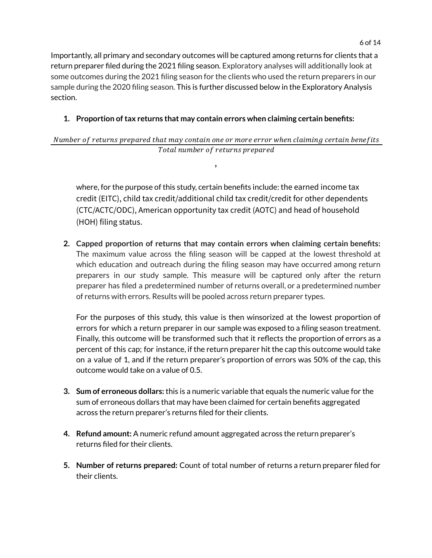Importantly, all primary and secondary outcomes will be captured among returns for clients that a return preparer filed during the 2021 filing season. Exploratory analyses will additionally look at some outcomes during the 2021 filing season for the clients who used the return preparers in our sample during the 2020 filing season. This is further discussed below in the Exploratory Analysis section.

## **1. Proportion oftax returns that may contain errors when claiming certain benefits:**

## Number of returns prepared that may contain one or more error when claiming certain benefits Total number of returns prepared

,

where, for the purpose of this study, certain benefits include: the earned income tax credit (EITC), child tax credit/additional child tax credit/credit for other dependents (CTC/ACTC/ODC), American opportunity tax credit (AOTC) and head of household (HOH) filing status.

**2. Capped proportion of returns that may contain errors when claiming certain benefits:** The maximum value across the filing season will be capped at the lowest threshold at which education and outreach during the filing season may have occurred among return preparers in our study sample. This measure will be captured only after the return preparer has filed a predetermined number of returns overall, or a predetermined number of returns with errors. Results will be pooled across return preparer types.

For the purposes of this study, this value is then winsorized at the lowest proportion of errors for which a return preparer in our sample was exposed to a filing season treatment. Finally, this outcome will be transformed such that it reflects the proportion of errors as a percent of this cap; for instance, if the return preparer hit the cap this outcome would take on a value of 1, and if the return preparer's proportion of errors was 50% of the cap, this outcome would take on a value of 0.5.

- **3. Sum of erroneous dollars:** this is a numeric variable that equals the numeric value for the sum of erroneous dollars that may have been claimed for certain benefits aggregated across the return preparer's returns filed for their clients.
- **4. Refund amount:** A numeric refund amount aggregated across the return preparer's returns filed for their clients.
- **5. Number of returns prepared:** Count of total number of returns a return preparer filed for their clients.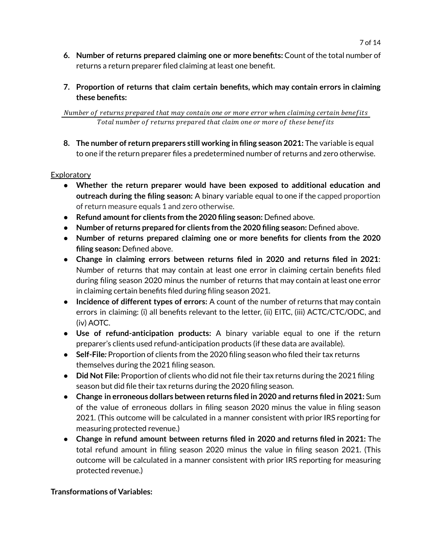- **6. Number of returns prepared claiming one or more benefits:** Count of the total number of returns a return preparer filed claiming at least one benefit.
- **7. Proportion of returns that claim certain benefits, which may contain errors in claiming these benefits:**

Number of returns prepared that may contain one or more error when claiming certain benefits Total number of returns prepared that claim one or more of these benefits

**8. The number of return preparers still working in filing season 2021:** The variable is equal to one if the return preparer files a predetermined number of returns and zero otherwise.

### **Exploratory**

- **Whether the return preparer would have been exposed to additional education and outreach during the filing season:** A binary variable equal to one if the capped proportion of return measure equals 1 and zero otherwise.
- **Refund amountfor clients from the 2020 filing season:** Defined above.
- **Number of returns prepared for clients from the 2020 filing season:** Defined above.
- **Number of returns prepared claiming one or more benefits for clients from the 2020 filing season:** Defined above.
- **Change in claiming errors between returns filed in 2020 and returns filed in 2021**: Number of returns that may contain at least one error in claiming certain benefits filed during filing season 2020 minus the number of returns that may contain at least one error in claiming certain benefits filed during filing season 2021.
- **Incidence of different types of errors:** A count of the number of returns that may contain errors in claiming: (i) all benefits relevant to the letter, (ii) EITC, (iii) ACTC/CTC/ODC, and (iv) AOTC.
- **Use of refund-anticipation products:** A binary variable equal to one if the return preparer's clients used refund-anticipation products (if these data are available).
- Self-File: Proportion of clients from the 2020 filing season who filed their tax returns themselves during the 2021 filing season.
- **Did Not File:** Proportion of clients who did not file their tax returns during the 2021 filing season but did file their tax returns during the 2020 filing season.
- **● Change in erroneous dollars between returns filed in 2020 and returns filed in 2021:** Sum of the value of erroneous dollars in filing season 2020 minus the value in filing season 2021. (This outcome will be calculated in a manner consistent with prior IRS reporting for measuring protected revenue.)
- **● Change in refund amount between returns filed in 2020 and returns filed in 2021:** The total refund amount in filing season 2020 minus the value in filing season 2021. (This outcome will be calculated in a manner consistent with prior IRS reporting for measuring protected revenue.)

#### **Transformations of Variables:**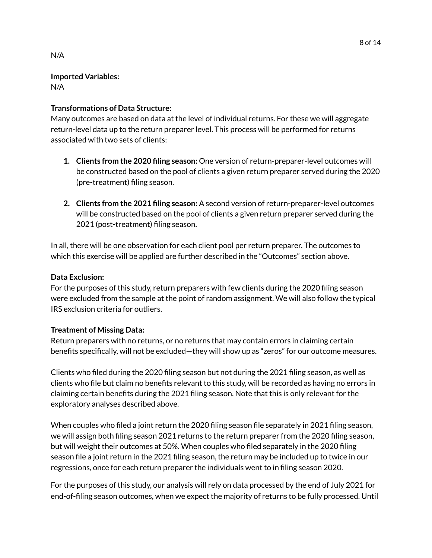### **Imported Variables:** N/A

## **Transformations of Data Structure:**

Many outcomes are based on data at the level of individual returns. For these we will aggregate return-level data up to the return preparer level. This process will be performed for returns associated with two sets of clients:

- **1. Clients from the 2020 filing season:** One version of return-preparer-level outcomes will be constructed based on the pool of clients a given return preparer served during the 2020 (pre-treatment) filing season.
- **2. Clients from the 2021 filing season:** A second version of return-preparer-level outcomes will be constructed based on the pool of clients a given return preparer served during the 2021 (post-treatment) filing season.

In all, there will be one observation for each client pool per return preparer. The outcomes to which this exercise will be applied are further described in the "Outcomes" section above.

## **Data Exclusion:**

For the purposes of this study, return preparers with few clients during the 2020 filing season were excluded from the sample at the point of random assignment. We will also follow the typical IRS exclusion criteria for outliers.

## **Treatment of Missing Data:**

Return preparers with no returns, or no returns that may contain errors in claiming certain benefits specifically, will not be excluded—they will show up as "zeros" for our outcome measures.

Clients who filed during the 2020 filing season but not during the 2021 filing season, as well as clients who file but claim no benefits relevant to this study, will be recorded as having no errors in claiming certain benefits during the 2021 filing season. Note that this is only relevant for the exploratory analyses described above.

When couples who filed a joint return the 2020 filing season file separately in 2021 filing season, we will assign both filing season 2021 returns to the return preparer from the 2020 filing season, but will weight their outcomes at 50%. When couples who filed separately in the 2020 filing season file a joint return in the 2021 filing season, the return may be included up to twice in our regressions, once for each return preparer the individuals went to in filing season 2020.

For the purposes of this study, our analysis will rely on data processed by the end of July 2021 for end-of-filing season outcomes, when we expect the majority of returns to be fully processed. Until

N/A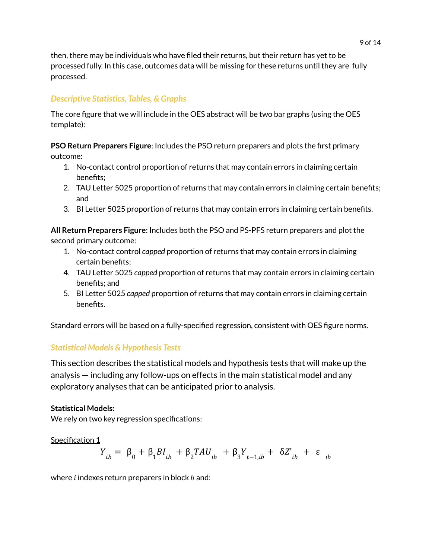then, there may be individuals who have filed their returns, but their return has yet to be processed fully. In this case, outcomes data will be missing for these returns until they are fully processed.

# *Descriptive Statistics, Tables, & Graphs*

The core figure that we will include in the OES abstract will be two bar graphs (using the OES template):

**PSO Return Preparers Figure**: Includes the PSO return preparers and plots the first primary outcome:

- 1. No-contact control proportion of returns that may contain errors in claiming certain benefits;
- 2. TAU Letter 5025 proportion of returns that may contain errors in claiming certain benefits; and
- 3. BI Letter 5025 proportion of returns that may contain errors in claiming certain benefits.

**All Return Preparers Figure**: Includes both the PSO and PS-PFS return preparers and plot the second primary outcome:

- 1. No-contact control *capped* proportion of returns that may contain errors in claiming certain benefits;
- 4. TAU Letter 5025 *capped* proportion of returns that may contain errors in claiming certain benefits; and
- 5. BI Letter 5025 *capped* proportion of returns that may contain errors in claiming certain benefits.

Standard errors will be based on a fully-specified regression, consistent with OES figure norms.

## *Statistical Models & Hypothesis Tests*

This section describes the statistical models and hypothesis tests that will make up the analysis — including any follow-ups on effects in the main statistical model and any exploratory analyses that can be anticipated prior to analysis.

## **Statistical Models:**

We rely on two key regression specifications:

## Specification 1

$$
Y_{ib} = \beta_0 + \beta_1 B I_{ib} + \beta_2 T A U_{ib} + \beta_3 Y_{t-1, ib} + \delta Z'_{ib} + \varepsilon_{ib}
$$

where  $i$  indexes return preparers in block  $b$  and: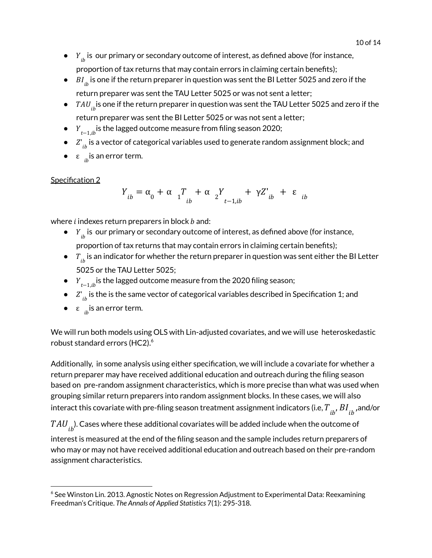- $\bullet$   $\quad$   $\,Y_{ib}$  is our primary or secondary outcome of interest, as defined above (for instance, proportion of tax returns that may contain errors in claiming certain benefits);
- $\bullet$   $\;\; BI_{ib}^{\phantom i}$  is one if the return preparer in question was sent the BI Letter 5025 and zero if the return preparer was sent the TAU Letter 5025 or was not sent a letter;
- $\bullet$   $\;\;TAU_{ib}^{\phantom i}$  is one if the return preparer in question was sent the TAU Letter 5025 and zero if the return preparer was sent the BI Letter 5025 or was not sent a letter;
- $\bullet$   $Y_{t-1, ib}$  is the lagged outcome measure from filing season 2020;
- $\bullet$   $\mathcal{Z'}_{ib}$  is a vector of categorical variables used to generate random assignment block; and
- $\bullet$   $\varepsilon$   $_{ib}$  is an error term.

## Specification 2

 $Y_{ib} = \alpha_0 + \alpha_1 T_{ib}$ ib  $+\alpha$ <sub>2</sub>Y<sub>2</sub>  $t-1, ib$  $+ \gamma Z^{\prime}_{ib} + \varepsilon_{ib}$ 

where  $i$  indexes return preparers in block  $b$  and:

- $\bullet$   $\quad$   $\,Y_{ib}$  is our primary or secondary outcome of interest, as defined above (for instance, proportion of tax returns that may contain errors in claiming certain benefits);
- $\bullet$   $\tau_{_{ib}}$  is an indicator for whether the return preparer in question was sent either the BI Letter 5025 or the TAU Letter 5025;
- $\bullet$   $\quad$   $\textit{Y}_{t-1,ib}$  is the lagged outcome measure from the 2020 filing season;
- $\bullet$   $\mathcal{Z'}_{ib}$  is the is the same vector of categorical variables described in Specification 1; and
- $\bullet$   $\varepsilon$   $_{ib}$  is an error term.

We will run both models using OLS with Lin-adjusted covariates, and we will use heteroskedastic robust standard errors (HC2). 6

Additionally, in some analysis using either specification, we will include a covariate for whether a return preparer may have received additional education and outreach during the filing season based on pre-random assignment characteristics, which is more precise than what was used when grouping similar return preparers into random assignment blocks. In these cases, we will also interact this covariate with pre-filing season treatment assignment indicators (i.e,  $T_{\phantom{b}ib'}^{}B I_{\phantom{b}ib}^{}$  ,and/or

 $TAU_{\overline{ib}}$ ). Cases where these additional covariates will be added include when the outcome of

interest is measured at the end of the filing season and the sample includes return preparers of who may or may not have received additional education and outreach based on their pre-random assignment characteristics.

 $6$  See Winston Lin. 2013. Agnostic Notes on Regression Adjustment to Experimental Data: Reexamining Freedman's Critique. *The Annals of Applied Statistics* 7(1): 295-318.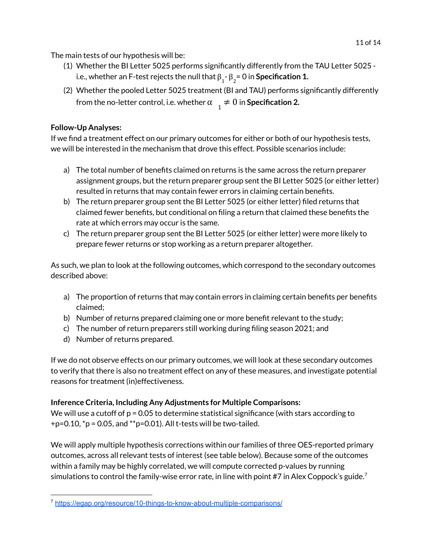The main tests of our hypothesis will be:

- (1) Whether the BI Letter 5025 performs significantly differently from the TAU Letter 5025 i.e., whether an F-test rejects the null that  $\boldsymbol{\beta}_1$ -  $\boldsymbol{\beta}_2$ = 0 in **Specification 1.**
- (2) Whether the pooled Letter 5025 treatment (BI and TAU) performs significantly differently from the no-letter control, i.e. whether  $\alpha_{1} \neq 0$  in **Specification 2.**

## **Follow-Up Analyses:**

If we find a treatment effect on our primary outcomes for either or both of our hypothesis tests, we will be interested in the mechanism that drove this effect. Possible scenarios include:

- a) The total number of benefits claimed on returns is the same across the return preparer assignment groups, but the return preparer group sent the BI Letter 5025 (or either letter) resulted in returns that may contain fewer errors in claiming certain benefits.
- b) The return preparer group sent the BI Letter 5025 (or either letter) filed returns that claimed fewer benefits, but conditional on filing a return that claimed these benefits the rate at which errors may occur is the same.
- c) The return preparer group sent the BI Letter 5025 (or either letter) were more likely to prepare fewer returns or stop working as a return preparer altogether.

As such, we plan to look at the following outcomes, which correspond to the secondary outcomes described above:

- a) The proportion of returns that may contain errors in claiming certain benefits per benefits claimed;
- b) Number of returns prepared claiming one or more benefit relevant to the study;
- c) The number of return preparers still working during filing season 2021; and
- d) Number of returns prepared.

If we do not observe effects on our primary outcomes, we will look at these secondary outcomes to verify that there is also no treatment effect on any of these measures, and investigate potential reasons for treatment (in)effectiveness.

## **Inference Criteria, Including Any Adjustments for Multiple Comparisons:**

We will use a cutoff of  $p = 0.05$  to determine statistical significance (with stars according to  $+p=0.10$ ,  ${}^{\ast}p=0.05$ , and  ${}^{\ast}p=0.01$ ). All t-tests will be two-tailed.

We will apply multiple hypothesis corrections within our families of three OES-reported primary outcomes, across all relevant tests of interest (see table below). Because some of the outcomes within a family may be highly correlated, we will compute corrected p-values by running simulations to control the family-wise error rate, in line with point #7 in Alex Coppock's guide.<sup>7</sup>

<sup>&</sup>lt;sup>7</sup> <https://egap.org/resource/10-things-to-know-about-multiple-comparisons/>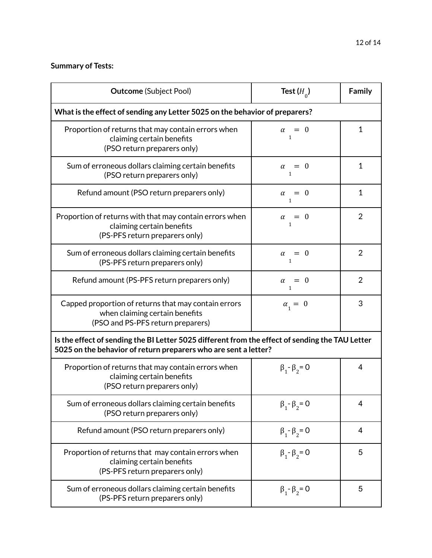## **Summary of Tests:**

| <b>Outcome</b> (Subject Pool)                                                                                                                                      | Test $(H_0)$                      | Family         |  |  |
|--------------------------------------------------------------------------------------------------------------------------------------------------------------------|-----------------------------------|----------------|--|--|
| What is the effect of sending any Letter 5025 on the behavior of preparers?                                                                                        |                                   |                |  |  |
| Proportion of returns that may contain errors when<br>claiming certain benefits<br>(PSO return preparers only)                                                     | $\alpha = 0$<br>1                 | $\mathbf{1}$   |  |  |
| Sum of erroneous dollars claiming certain benefits<br>(PSO return preparers only)                                                                                  | $\alpha = 0$<br>$\mathbf{1}$      | $\mathbf{1}$   |  |  |
| Refund amount (PSO return preparers only)                                                                                                                          | $= 0$<br>$\alpha$<br>$\mathbf{1}$ | $\mathbf{1}$   |  |  |
| Proportion of returns with that may contain errors when<br>claiming certain benefits<br>(PS-PFS return preparers only)                                             | $\alpha = 0$<br>$\mathbf{1}$      | $\overline{2}$ |  |  |
| Sum of erroneous dollars claiming certain benefits<br>(PS-PFS return preparers only)                                                                               | $\alpha = 0$<br>1                 | $\overline{2}$ |  |  |
| Refund amount (PS-PFS return preparers only)                                                                                                                       | $\alpha = 0$<br>1                 | $\overline{2}$ |  |  |
| Capped proportion of returns that may contain errors<br>when claiming certain benefits<br>(PSO and PS-PFS return preparers)                                        | $\alpha_{1} = 0$                  | 3              |  |  |
| Is the effect of sending the BI Letter 5025 different from the effect of sending the TAU Letter<br>5025 on the behavior of return preparers who are sent a letter? |                                   |                |  |  |
| Proportion of returns that may contain errors when<br>claiming certain benefits<br>(PSO return preparers only)                                                     | $\beta_1 - \beta_2 = 0$           | 4              |  |  |
| Sum of erroneous dollars claiming certain benefits<br>(PSO return preparers only)                                                                                  | $\beta_1 - \beta_2 = 0$           | 4              |  |  |
| Refund amount (PSO return preparers only)                                                                                                                          | $\beta_1 - \beta_2 = 0$           | 4              |  |  |
| Proportion of returns that may contain errors when<br>claiming certain benefits<br>(PS-PFS return preparers only)                                                  | $\beta_1 - \beta_2 = 0$           | 5              |  |  |
| Sum of erroneous dollars claiming certain benefits<br>(PS-PFS return preparers only)                                                                               | $\beta_1 - \beta_2 = 0$           | 5              |  |  |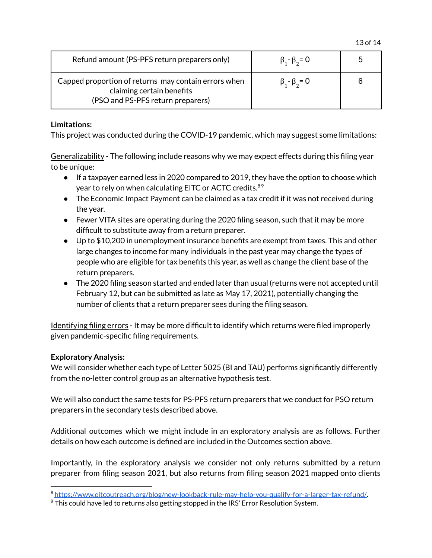| Refund amount (PS-PFS return preparers only)                                                                           | $\beta_{1} - \beta_{2} = 0$ | 5 |
|------------------------------------------------------------------------------------------------------------------------|-----------------------------|---|
| Capped proportion of returns may contain errors when<br>claiming certain benefits<br>(PSO and PS-PFS return preparers) | $\beta_{1} - \beta_{2} = 0$ | 6 |

### **Limitations:**

This project was conducted during the COVID-19 pandemic, which may suggest some limitations:

Generalizability - The following include reasons why we may expect effects during this filing year to be unique:

- If a taxpayer earned less in 2020 compared to 2019, they have the option to choose which year to rely on when calculating EITC or ACTC credits.<sup>89</sup>
- The Economic Impact Payment can be claimed as a tax credit if it was not received during the year.
- Fewer VITA sites are operating during the 2020 filing season, such that it may be more difficult to substitute away from a return preparer.
- $\bullet$  Up to \$10,200 in unemployment insurance benefits are exempt from taxes. This and other large changes to income for many individuals in the past year may change the types of people who are eligible for tax benefits this year, as well as change the client base of the return preparers.
- The 2020 filing season started and ended later than usual (returns were not accepted until February 12, but can be submitted as late as May 17, 2021), potentially changing the number of clients that a return preparer sees during the filing season.

Identifying filing errors - It may be more difficult to identify which returns were filed improperly given pandemic-specific filing requirements.

## **Exploratory Analysis:**

We will consider whether each type of Letter 5025 (BI and TAU) performs significantly differently from the no-letter control group as an alternative hypothesis test.

We will also conduct the same tests for PS-PFS return preparers that we conduct for PSO return preparers in the secondary tests described above.

Additional outcomes which we might include in an exploratory analysis are as follows. Further details on how each outcome is defined are included in the Outcomes section above.

Importantly, in the exploratory analysis we consider not only returns submitted by a return preparer from filing season 2021, but also returns from filing season 2021 mapped onto clients

<sup>8</sup> <https://www.eitcoutreach.org/blog/new-lookback-rule-may-help-you-qualify-for-a-larger-tax-refund/>.

 $9$  This could have led to returns also getting stopped in the IRS' Error Resolution System.